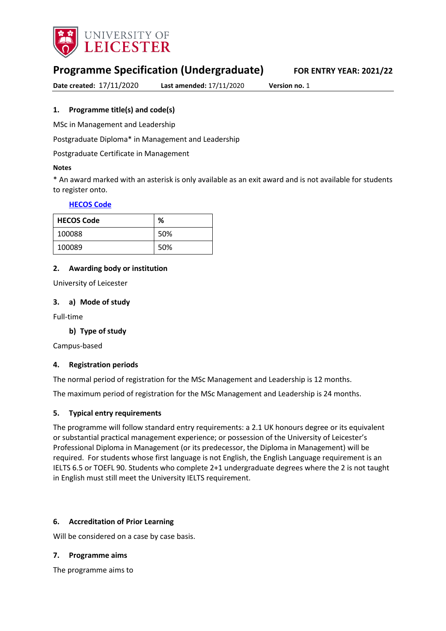

# **Programme Specification (Undergraduate) FOR ENTRY YEAR: 2021/22**

**Date created:** 17/11/2020 **Last amended:** 17/11/2020 **Version no.** 1

#### <span id="page-0-0"></span>**1. Programme title(s) and code(s)**

MSc in Management and Leadership

Postgraduate Diploma\* in Management and Leadership

Postgraduate Certificate in Management

#### **Notes**

\* An award marked with an asterisk is only available as an exit award and is not available for students to register onto.

#### **[HECOS Code](https://www.hesa.ac.uk/innovation/hecos)**

| <b>HECOS Code</b> | %   |
|-------------------|-----|
| 100088            | 50% |
| 100089            | 50% |

#### **2. Awarding body or institution**

University of Leicester

#### **3. a) Mode of study**

Full-time

### **b) Type of study**

Campus-based

#### **4. Registration periods**

The normal period of registration for the MSc Management and Leadership is 12 months.

The maximum period of registration for the MSc Management and Leadership is 24 months.

#### **5. Typical entry requirements**

The programme will follow standard entry requirements: a 2.1 UK honours degree or its equivalent or substantial practical management experience; or possession of the University of Leicester's Professional Diploma in Management (or its predecessor, the Diploma in Management) will be required. For students whose first language is not English, the English Language requirement is an IELTS 6.5 or TOEFL 90. Students who complete 2+1 undergraduate degrees where the 2 is not taught in English must still meet the University IELTS requirement.

#### **6. Accreditation of Prior Learning**

Will be considered on a case by case basis.

#### **7. Programme aims**

The programme aims to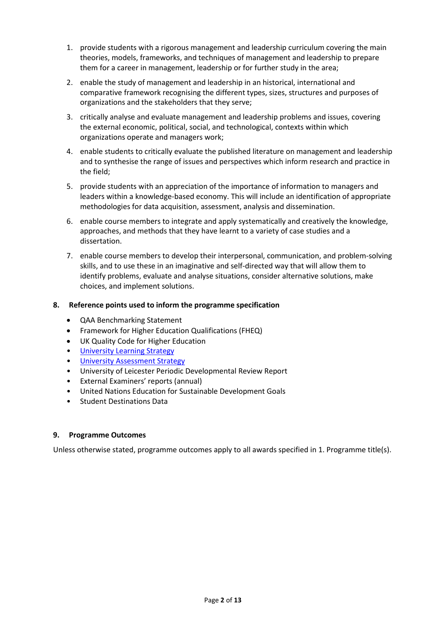- 1. provide students with a rigorous management and leadership curriculum covering the main theories, models, frameworks, and techniques of management and leadership to prepare them for a career in management, leadership or for further study in the area;
- 2. enable the study of management and leadership in an historical, international and comparative framework recognising the different types, sizes, structures and purposes of organizations and the stakeholders that they serve;
- 3. critically analyse and evaluate management and leadership problems and issues, covering the external economic, political, social, and technological, contexts within which organizations operate and managers work;
- 4. enable students to critically evaluate the published literature on management and leadership and to synthesise the range of issues and perspectives which inform research and practice in the field;
- 5. provide students with an appreciation of the importance of information to managers and leaders within a knowledge-based economy. This will include an identification of appropriate methodologies for data acquisition, assessment, analysis and dissemination.
- 6. enable course members to integrate and apply systematically and creatively the knowledge, approaches, and methods that they have learnt to a variety of case studies and a dissertation.
- 7. enable course members to develop their interpersonal, communication, and problem-solving skills, and to use these in an imaginative and self-directed way that will allow them to identify problems, evaluate and analyse situations, consider alternative solutions, make choices, and implement solutions.

### **8. Reference points used to inform the programme specification**

- QAA Benchmarking Statement
- Framework for Higher Education Qualifications (FHEQ)
- UK Quality Code for Higher Education
- [University Learning](https://www2.le.ac.uk/offices/sas2/quality/learnteach) Strategy
- [University Assessment Strategy](https://www2.le.ac.uk/offices/sas2/quality/learnteach)
- University of Leicester Periodic Developmental Review Report
- External Examiners' reports (annual)
- United Nations Education for Sustainable Development Goals
- Student Destinations Data

### **9. Programme Outcomes**

Unless otherwise stated, programme outcomes apply to all awards specified in [1.](#page-0-0) Programme title(s).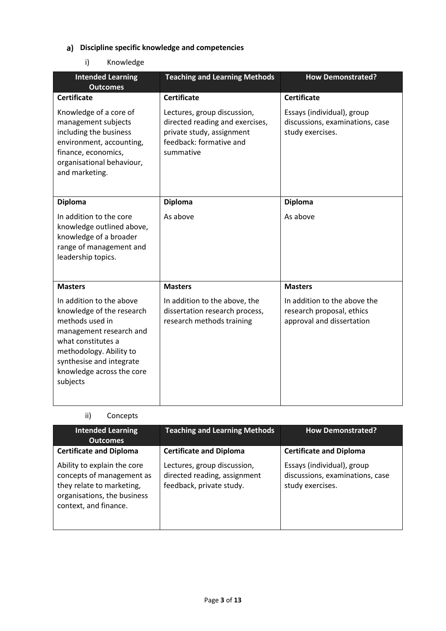# **Discipline specific knowledge and competencies**

# i) Knowledge

| <b>Intended Learning</b><br><b>Outcomes</b>                                                                                                                                                                               | <b>Teaching and Learning Methods</b>                                                                                                | <b>How Demonstrated?</b>                                                               |
|---------------------------------------------------------------------------------------------------------------------------------------------------------------------------------------------------------------------------|-------------------------------------------------------------------------------------------------------------------------------------|----------------------------------------------------------------------------------------|
| <b>Certificate</b>                                                                                                                                                                                                        | <b>Certificate</b>                                                                                                                  | <b>Certificate</b>                                                                     |
| Knowledge of a core of<br>management subjects<br>including the business<br>environment, accounting,<br>finance, economics,<br>organisational behaviour,<br>and marketing.                                                 | Lectures, group discussion,<br>directed reading and exercises,<br>private study, assignment<br>feedback: formative and<br>summative | Essays (individual), group<br>discussions, examinations, case<br>study exercises.      |
| <b>Diploma</b>                                                                                                                                                                                                            | <b>Diploma</b>                                                                                                                      | <b>Diploma</b>                                                                         |
| In addition to the core<br>knowledge outlined above,<br>knowledge of a broader<br>range of management and<br>leadership topics.                                                                                           | As above                                                                                                                            | As above                                                                               |
| <b>Masters</b>                                                                                                                                                                                                            | <b>Masters</b>                                                                                                                      | <b>Masters</b>                                                                         |
| In addition to the above<br>knowledge of the research<br>methods used in<br>management research and<br>what constitutes a<br>methodology. Ability to<br>synthesise and integrate<br>knowledge across the core<br>subjects | In addition to the above, the<br>dissertation research process,<br>research methods training                                        | In addition to the above the<br>research proposal, ethics<br>approval and dissertation |

# ii) Concepts

| <b>Intended Learning</b><br><b>Outcomes</b>                                                                                                   | <b>Teaching and Learning Methods</b>                                                    | <b>How Demonstrated?</b>                                                          |
|-----------------------------------------------------------------------------------------------------------------------------------------------|-----------------------------------------------------------------------------------------|-----------------------------------------------------------------------------------|
| <b>Certificate and Diploma</b>                                                                                                                | <b>Certificate and Diploma</b>                                                          | <b>Certificate and Diploma</b>                                                    |
| Ability to explain the core<br>concepts of management as<br>they relate to marketing,<br>organisations, the business<br>context, and finance. | Lectures, group discussion,<br>directed reading, assignment<br>feedback, private study. | Essays (individual), group<br>discussions, examinations, case<br>study exercises. |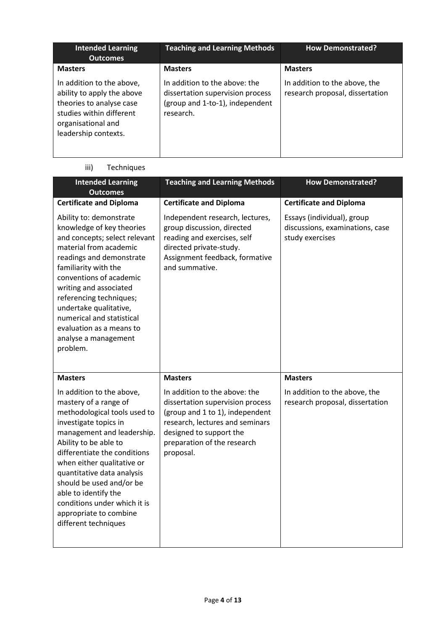| <b>Intended Learning</b><br><b>Outcomes</b>                                                                                                                   | <b>Teaching and Learning Methods</b>                                                                              | <b>How Demonstrated?</b>                                         |
|---------------------------------------------------------------------------------------------------------------------------------------------------------------|-------------------------------------------------------------------------------------------------------------------|------------------------------------------------------------------|
| <b>Masters</b>                                                                                                                                                | <b>Masters</b>                                                                                                    | <b>Masters</b>                                                   |
| In addition to the above,<br>ability to apply the above<br>theories to analyse case<br>studies within different<br>organisational and<br>leadership contexts. | In addition to the above: the<br>dissertation supervision process<br>(group and 1-to-1), independent<br>research. | In addition to the above, the<br>research proposal, dissertation |

#### iii) Techniques

| <b>Intended Learning</b><br><b>Outcomes</b>                                                                                                                                                                                                                                                                                                                                                    | <b>Teaching and Learning Methods</b>                                                                                                                                                                                             | <b>How Demonstrated?</b>                                                           |
|------------------------------------------------------------------------------------------------------------------------------------------------------------------------------------------------------------------------------------------------------------------------------------------------------------------------------------------------------------------------------------------------|----------------------------------------------------------------------------------------------------------------------------------------------------------------------------------------------------------------------------------|------------------------------------------------------------------------------------|
| <b>Certificate and Diploma</b>                                                                                                                                                                                                                                                                                                                                                                 | <b>Certificate and Diploma</b>                                                                                                                                                                                                   | <b>Certificate and Diploma</b>                                                     |
| Ability to: demonstrate<br>knowledge of key theories<br>and concepts; select relevant<br>material from academic<br>readings and demonstrate<br>familiarity with the<br>conventions of academic<br>writing and associated<br>referencing techniques;<br>undertake qualitative,<br>numerical and statistical<br>evaluation as a means to<br>analyse a management<br>problem.                     | Independent research, lectures,<br>group discussion, directed<br>reading and exercises, self<br>directed private-study.<br>Assignment feedback, formative<br>and summative.                                                      | Essays (individual), group<br>discussions, examinations, case<br>study exercises   |
| <b>Masters</b><br>In addition to the above,<br>mastery of a range of<br>methodological tools used to<br>investigate topics in<br>management and leadership.<br>Ability to be able to<br>differentiate the conditions<br>when either qualitative or<br>quantitative data analysis<br>should be used and/or be<br>able to identify the<br>conditions under which it is<br>appropriate to combine | <b>Masters</b><br>In addition to the above: the<br>dissertation supervision process<br>(group and 1 to 1), independent<br>research, lectures and seminars<br>designed to support the<br>preparation of the research<br>proposal. | <b>Masters</b><br>In addition to the above, the<br>research proposal, dissertation |
| different techniques                                                                                                                                                                                                                                                                                                                                                                           |                                                                                                                                                                                                                                  |                                                                                    |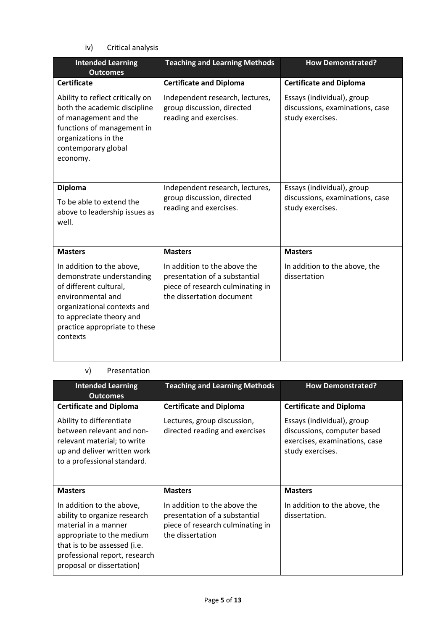iv) Critical analysis

| <b>Intended Learning</b><br><b>Outcomes</b>                                                                                                                                                                   | <b>Teaching and Learning Methods</b>                                                                                           | <b>How Demonstrated?</b>                                                          |
|---------------------------------------------------------------------------------------------------------------------------------------------------------------------------------------------------------------|--------------------------------------------------------------------------------------------------------------------------------|-----------------------------------------------------------------------------------|
| <b>Certificate</b>                                                                                                                                                                                            | <b>Certificate and Diploma</b>                                                                                                 | <b>Certificate and Diploma</b>                                                    |
| Ability to reflect critically on<br>both the academic discipline<br>of management and the<br>functions of management in<br>organizations in the<br>contemporary global<br>economy.                            | Independent research, lectures,<br>group discussion, directed<br>reading and exercises.                                        | Essays (individual), group<br>discussions, examinations, case<br>study exercises. |
| <b>Diploma</b><br>To be able to extend the<br>above to leadership issues as<br>well.                                                                                                                          | Independent research, lectures,<br>group discussion, directed<br>reading and exercises.                                        | Essays (individual), group<br>discussions, examinations, case<br>study exercises. |
| <b>Masters</b>                                                                                                                                                                                                | <b>Masters</b>                                                                                                                 | <b>Masters</b>                                                                    |
| In addition to the above,<br>demonstrate understanding<br>of different cultural,<br>environmental and<br>organizational contexts and<br>to appreciate theory and<br>practice appropriate to these<br>contexts | In addition to the above the<br>presentation of a substantial<br>piece of research culminating in<br>the dissertation document | In addition to the above, the<br>dissertation                                     |

### v) Presentation

| <b>Intended Learning</b><br><b>Outcomes</b>                                                                                                                                                                  | <b>Teaching and Learning Methods</b>                                                                                  | <b>How Demonstrated?</b>                                                                                       |
|--------------------------------------------------------------------------------------------------------------------------------------------------------------------------------------------------------------|-----------------------------------------------------------------------------------------------------------------------|----------------------------------------------------------------------------------------------------------------|
| <b>Certificate and Diploma</b>                                                                                                                                                                               | <b>Certificate and Diploma</b>                                                                                        | <b>Certificate and Diploma</b>                                                                                 |
| Ability to differentiate<br>between relevant and non-<br>relevant material; to write<br>up and deliver written work<br>to a professional standard.                                                           | Lectures, group discussion,<br>directed reading and exercises                                                         | Essays (individual), group<br>discussions, computer based<br>exercises, examinations, case<br>study exercises. |
| <b>Masters</b>                                                                                                                                                                                               | <b>Masters</b>                                                                                                        | <b>Masters</b>                                                                                                 |
| In addition to the above,<br>ability to organize research<br>material in a manner<br>appropriate to the medium<br>that is to be assessed (i.e.<br>professional report, research<br>proposal or dissertation) | In addition to the above the<br>presentation of a substantial<br>piece of research culminating in<br>the dissertation | In addition to the above, the<br>dissertation.                                                                 |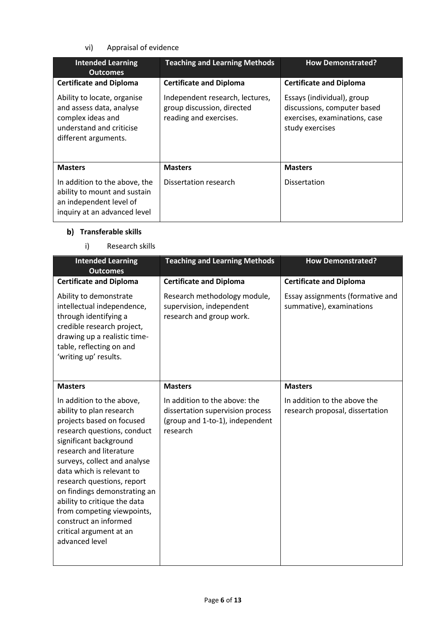vi) Appraisal of evidence

| <b>Intended Learning</b><br><b>Outcomes</b>                                                                                      | <b>Teaching and Learning Methods</b>                                                    | <b>How Demonstrated?</b>                                                                                      |
|----------------------------------------------------------------------------------------------------------------------------------|-----------------------------------------------------------------------------------------|---------------------------------------------------------------------------------------------------------------|
| <b>Certificate and Diploma</b>                                                                                                   | <b>Certificate and Diploma</b>                                                          | <b>Certificate and Diploma</b>                                                                                |
| Ability to locate, organise<br>and assess data, analyse<br>complex ideas and<br>understand and criticise<br>different arguments. | Independent research, lectures,<br>group discussion, directed<br>reading and exercises. | Essays (individual), group<br>discussions, computer based<br>exercises, examinations, case<br>study exercises |
| <b>Masters</b>                                                                                                                   | <b>Masters</b>                                                                          | <b>Masters</b>                                                                                                |
| In addition to the above, the<br>ability to mount and sustain<br>an independent level of<br>inquiry at an advanced level         | Dissertation research                                                                   | <b>Dissertation</b>                                                                                           |

# **b)** Transferable skills

i) Research skills

| <b>Intended Learning</b><br><b>Outcomes</b>                                                                                                                                                                                                                                                                                                                                                                                           | <b>Teaching and Learning Methods</b>                                                                             | <b>How Demonstrated?</b>                                        |
|---------------------------------------------------------------------------------------------------------------------------------------------------------------------------------------------------------------------------------------------------------------------------------------------------------------------------------------------------------------------------------------------------------------------------------------|------------------------------------------------------------------------------------------------------------------|-----------------------------------------------------------------|
| <b>Certificate and Diploma</b>                                                                                                                                                                                                                                                                                                                                                                                                        | <b>Certificate and Diploma</b>                                                                                   | <b>Certificate and Diploma</b>                                  |
| Ability to demonstrate<br>intellectual independence,<br>through identifying a<br>credible research project,<br>drawing up a realistic time-<br>table, reflecting on and<br>'writing up' results.                                                                                                                                                                                                                                      | Research methodology module,<br>supervision, independent<br>research and group work.                             | Essay assignments (formative and<br>summative), examinations    |
| <b>Masters</b>                                                                                                                                                                                                                                                                                                                                                                                                                        | <b>Masters</b>                                                                                                   | <b>Masters</b>                                                  |
| In addition to the above,<br>ability to plan research<br>projects based on focused<br>research questions, conduct<br>significant background<br>research and literature<br>surveys, collect and analyse<br>data which is relevant to<br>research questions, report<br>on findings demonstrating an<br>ability to critique the data<br>from competing viewpoints,<br>construct an informed<br>critical argument at an<br>advanced level | In addition to the above: the<br>dissertation supervision process<br>(group and 1-to-1), independent<br>research | In addition to the above the<br>research proposal, dissertation |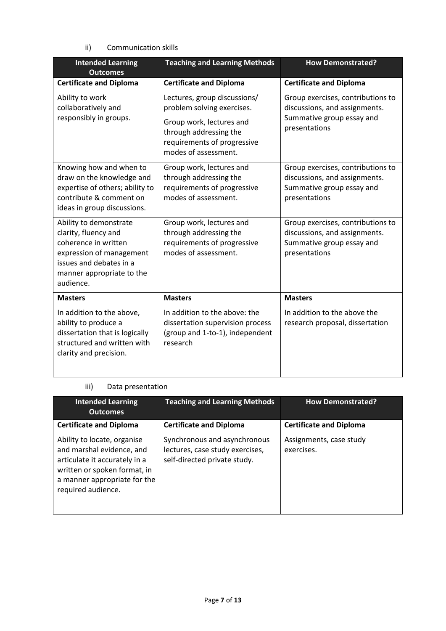### ii) Communication skills

| <b>Intended Learning</b><br><b>Outcomes</b>                                                                                                                             | <b>Teaching and Learning Methods</b>                                                                             | <b>How Demonstrated?</b>                                                                                         |
|-------------------------------------------------------------------------------------------------------------------------------------------------------------------------|------------------------------------------------------------------------------------------------------------------|------------------------------------------------------------------------------------------------------------------|
| <b>Certificate and Diploma</b>                                                                                                                                          | <b>Certificate and Diploma</b>                                                                                   | <b>Certificate and Diploma</b>                                                                                   |
| Ability to work<br>collaboratively and<br>responsibly in groups.                                                                                                        | Lectures, group discussions/<br>problem solving exercises.<br>Group work, lectures and<br>through addressing the | Group exercises, contributions to<br>discussions, and assignments.<br>Summative group essay and<br>presentations |
|                                                                                                                                                                         | requirements of progressive<br>modes of assessment.                                                              |                                                                                                                  |
| Knowing how and when to<br>draw on the knowledge and<br>expertise of others; ability to<br>contribute & comment on<br>ideas in group discussions.                       | Group work, lectures and<br>through addressing the<br>requirements of progressive<br>modes of assessment.        | Group exercises, contributions to<br>discussions, and assignments.<br>Summative group essay and<br>presentations |
| Ability to demonstrate<br>clarity, fluency and<br>coherence in written<br>expression of management<br>issues and debates in a<br>manner appropriate to the<br>audience. | Group work, lectures and<br>through addressing the<br>requirements of progressive<br>modes of assessment.        | Group exercises, contributions to<br>discussions, and assignments.<br>Summative group essay and<br>presentations |
| <b>Masters</b>                                                                                                                                                          | <b>Masters</b>                                                                                                   | <b>Masters</b>                                                                                                   |
| In addition to the above,<br>ability to produce a<br>dissertation that is logically<br>structured and written with<br>clarity and precision.                            | In addition to the above: the<br>dissertation supervision process<br>(group and 1-to-1), independent<br>research | In addition to the above the<br>research proposal, dissertation                                                  |

### iii) Data presentation

| <b>Intended Learning</b><br><b>Outcomes</b>                                                                                                                                     | <b>Teaching and Learning Methods</b>                                                            | <b>How Demonstrated?</b>              |
|---------------------------------------------------------------------------------------------------------------------------------------------------------------------------------|-------------------------------------------------------------------------------------------------|---------------------------------------|
| <b>Certificate and Diploma</b>                                                                                                                                                  | <b>Certificate and Diploma</b>                                                                  | <b>Certificate and Diploma</b>        |
| Ability to locate, organise<br>and marshal evidence, and<br>articulate it accurately in a<br>written or spoken format, in<br>a manner appropriate for the<br>required audience. | Synchronous and asynchronous<br>lectures, case study exercises,<br>self-directed private study. | Assignments, case study<br>exercises. |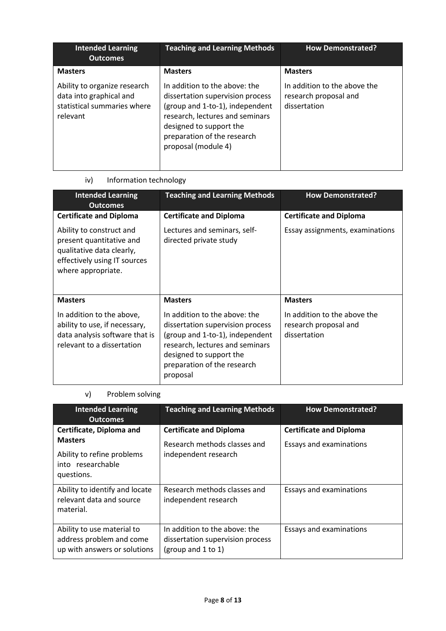| <b>Intended Learning</b><br><b>Outcomes</b>                                                        | <b>Teaching and Learning Methods</b>                                                                                                                                                                                     | <b>How Demonstrated?</b>                                              |
|----------------------------------------------------------------------------------------------------|--------------------------------------------------------------------------------------------------------------------------------------------------------------------------------------------------------------------------|-----------------------------------------------------------------------|
| <b>Masters</b>                                                                                     | <b>Masters</b>                                                                                                                                                                                                           | <b>Masters</b>                                                        |
| Ability to organize research<br>data into graphical and<br>statistical summaries where<br>relevant | In addition to the above: the<br>dissertation supervision process<br>(group and 1-to-1), independent<br>research, lectures and seminars<br>designed to support the<br>preparation of the research<br>proposal (module 4) | In addition to the above the<br>research proposal and<br>dissertation |

# iv) Information technology

| <b>Intended Learning</b><br><b>Outcomes</b>                                                                                             | <b>Teaching and Learning Methods</b>                                                                                                                                                                          | <b>How Demonstrated?</b>                                              |
|-----------------------------------------------------------------------------------------------------------------------------------------|---------------------------------------------------------------------------------------------------------------------------------------------------------------------------------------------------------------|-----------------------------------------------------------------------|
| <b>Certificate and Diploma</b>                                                                                                          | <b>Certificate and Diploma</b>                                                                                                                                                                                | <b>Certificate and Diploma</b>                                        |
| Ability to construct and<br>present quantitative and<br>qualitative data clearly,<br>effectively using IT sources<br>where appropriate. | Lectures and seminars, self-<br>directed private study                                                                                                                                                        | Essay assignments, examinations                                       |
| <b>Masters</b>                                                                                                                          | <b>Masters</b>                                                                                                                                                                                                | <b>Masters</b>                                                        |
| In addition to the above,<br>ability to use, if necessary,<br>data analysis software that is<br>relevant to a dissertation              | In addition to the above: the<br>dissertation supervision process<br>(group and 1-to-1), independent<br>research, lectures and seminars<br>designed to support the<br>preparation of the research<br>proposal | In addition to the above the<br>research proposal and<br>dissertation |

# v) Problem solving

| <b>Intended Learning</b><br><b>Outcomes</b>                                                                 | <b>Teaching and Learning Methods</b>                                                    | <b>How Demonstrated?</b>                                  |
|-------------------------------------------------------------------------------------------------------------|-----------------------------------------------------------------------------------------|-----------------------------------------------------------|
| Certificate, Diploma and<br><b>Masters</b><br>Ability to refine problems<br>into researchable<br>questions. | <b>Certificate and Diploma</b><br>Research methods classes and<br>independent research  | <b>Certificate and Diploma</b><br>Essays and examinations |
| Ability to identify and locate<br>relevant data and source<br>material.                                     | Research methods classes and<br>independent research                                    | <b>Essays and examinations</b>                            |
| Ability to use material to<br>address problem and come<br>up with answers or solutions                      | In addition to the above: the<br>dissertation supervision process<br>(group and 1 to 1) | Essays and examinations                                   |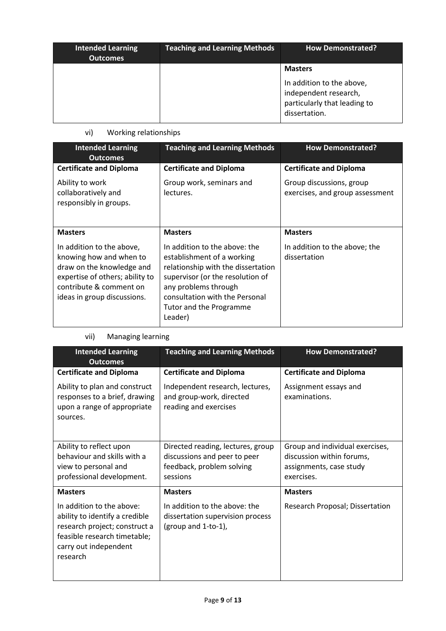| <b>Intended Learning</b><br><b>Outcomes</b> | <b>Teaching and Learning Methods</b> | <b>How Demonstrated?</b>                                                                                              |
|---------------------------------------------|--------------------------------------|-----------------------------------------------------------------------------------------------------------------------|
|                                             |                                      | <b>Masters</b><br>In addition to the above,<br>independent research,<br>particularly that leading to<br>dissertation. |

# vi) Working relationships

| <b>Intended Learning</b><br><b>Outcomes</b>                                                                                                                                    | <b>Teaching and Learning Methods</b>                                                                                                                                                                                                  | <b>How Demonstrated?</b>                                    |
|--------------------------------------------------------------------------------------------------------------------------------------------------------------------------------|---------------------------------------------------------------------------------------------------------------------------------------------------------------------------------------------------------------------------------------|-------------------------------------------------------------|
| <b>Certificate and Diploma</b>                                                                                                                                                 | <b>Certificate and Diploma</b>                                                                                                                                                                                                        | <b>Certificate and Diploma</b>                              |
| Ability to work<br>collaboratively and<br>responsibly in groups.                                                                                                               | Group work, seminars and<br>lectures.                                                                                                                                                                                                 | Group discussions, group<br>exercises, and group assessment |
| <b>Masters</b>                                                                                                                                                                 | <b>Masters</b>                                                                                                                                                                                                                        | <b>Masters</b>                                              |
| In addition to the above,<br>knowing how and when to<br>draw on the knowledge and<br>expertise of others; ability to<br>contribute & comment on<br>ideas in group discussions. | In addition to the above: the<br>establishment of a working<br>relationship with the dissertation<br>supervisor (or the resolution of<br>any problems through<br>consultation with the Personal<br>Tutor and the Programme<br>Leader) | In addition to the above; the<br>dissertation               |

### vii) Managing learning

| <b>Intended Learning</b><br><b>Outcomes</b>                                                                                                                       | <b>Teaching and Learning Methods</b>                                                                       | <b>How Demonstrated?</b>                                                                              |
|-------------------------------------------------------------------------------------------------------------------------------------------------------------------|------------------------------------------------------------------------------------------------------------|-------------------------------------------------------------------------------------------------------|
| <b>Certificate and Diploma</b>                                                                                                                                    | <b>Certificate and Diploma</b>                                                                             | <b>Certificate and Diploma</b>                                                                        |
| Ability to plan and construct<br>responses to a brief, drawing<br>upon a range of appropriate<br>sources.                                                         | Independent research, lectures,<br>and group-work, directed<br>reading and exercises                       | Assignment essays and<br>examinations.                                                                |
| Ability to reflect upon<br>behaviour and skills with a<br>view to personal and<br>professional development.                                                       | Directed reading, lectures, group<br>discussions and peer to peer<br>feedback, problem solving<br>sessions | Group and individual exercises,<br>discussion within forums,<br>assignments, case study<br>exercises. |
| <b>Masters</b>                                                                                                                                                    | <b>Masters</b>                                                                                             | <b>Masters</b>                                                                                        |
| In addition to the above:<br>ability to identify a credible<br>research project; construct a<br>feasible research timetable;<br>carry out independent<br>research | In addition to the above: the<br>dissertation supervision process<br>(group and 1-to-1),                   | Research Proposal; Dissertation                                                                       |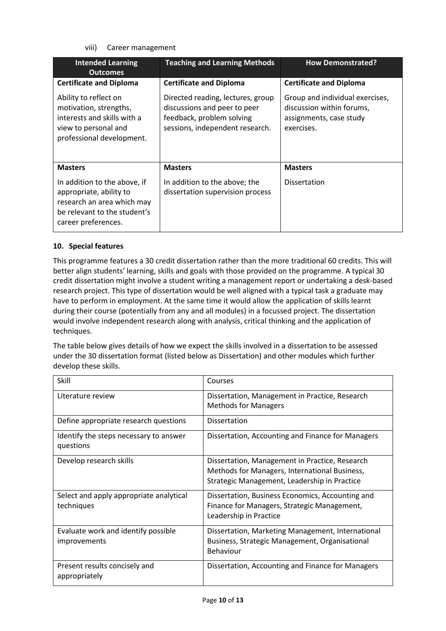viii) Career management

| <b>Intended Learning</b><br><b>Outcomes</b>                                                                                                  | <b>Teaching and Learning Methods</b>                                                                                              | <b>How Demonstrated?</b>                                                                              |
|----------------------------------------------------------------------------------------------------------------------------------------------|-----------------------------------------------------------------------------------------------------------------------------------|-------------------------------------------------------------------------------------------------------|
| <b>Certificate and Diploma</b>                                                                                                               | <b>Certificate and Diploma</b>                                                                                                    | <b>Certificate and Diploma</b>                                                                        |
| Ability to reflect on<br>motivation, strengths,<br>interests and skills with a<br>view to personal and<br>professional development.          | Directed reading, lectures, group<br>discussions and peer to peer<br>feedback, problem solving<br>sessions, independent research. | Group and individual exercises,<br>discussion within forums,<br>assignments, case study<br>exercises. |
| <b>Masters</b>                                                                                                                               | <b>Masters</b>                                                                                                                    | <b>Masters</b>                                                                                        |
| In addition to the above, if<br>appropriate, ability to<br>research an area which may<br>be relevant to the student's<br>career preferences. | In addition to the above; the<br>dissertation supervision process                                                                 | <b>Dissertation</b>                                                                                   |

### **10. Special features**

This programme features a 30 credit dissertation rather than the more traditional 60 credits. This will better align students' learning, skills and goals with those provided on the programme. A typical 30 credit dissertation might involve a student writing a management report or undertaking a desk-based research project. This type of dissertation would be well aligned with a typical task a graduate may have to perform in employment. At the same time it would allow the application of skills learnt during their course (potentially from any and all modules) in a focussed project. The dissertation would involve independent research along with analysis, critical thinking and the application of techniques.

The table below gives details of how we expect the skills involved in a dissertation to be assessed under the 30 dissertation format (listed below as Dissertation) and other modules which further develop these skills.

| Skill                                               | Courses                                           |
|-----------------------------------------------------|---------------------------------------------------|
| Literature review                                   | Dissertation, Management in Practice, Research    |
|                                                     | <b>Methods for Managers</b>                       |
| Define appropriate research questions               | <b>Dissertation</b>                               |
| Identify the steps necessary to answer<br>questions | Dissertation, Accounting and Finance for Managers |
| Develop research skills                             | Dissertation, Management in Practice, Research    |
|                                                     | Methods for Managers, International Business,     |
|                                                     | Strategic Management, Leadership in Practice      |
| Select and apply appropriate analytical             | Dissertation, Business Economics, Accounting and  |
| techniques                                          | Finance for Managers, Strategic Management,       |
|                                                     | Leadership in Practice                            |
| Evaluate work and identify possible                 | Dissertation, Marketing Management, International |
| <i>improvements</i>                                 | Business, Strategic Management, Organisational    |
|                                                     | Behaviour                                         |
| Present results concisely and                       | Dissertation, Accounting and Finance for Managers |
| appropriately                                       |                                                   |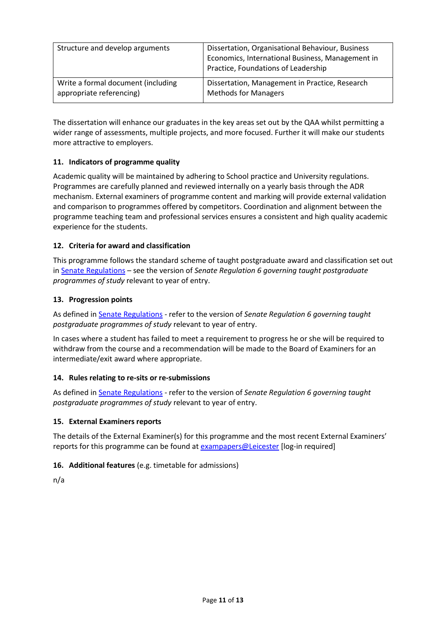| Structure and develop arguments    | Dissertation, Organisational Behaviour, Business<br>Economics, International Business, Management in<br>Practice, Foundations of Leadership |
|------------------------------------|---------------------------------------------------------------------------------------------------------------------------------------------|
| Write a formal document (including | Dissertation, Management in Practice, Research                                                                                              |
| appropriate referencing)           | <b>Methods for Managers</b>                                                                                                                 |

The dissertation will enhance our graduates in the key areas set out by the QAA whilst permitting a wider range of assessments, multiple projects, and more focused. Further it will make our students more attractive to employers.

### **11. Indicators of programme quality**

Academic quality will be maintained by adhering to School practice and University regulations. Programmes are carefully planned and reviewed internally on a yearly basis through the ADR mechanism. External examiners of programme content and marking will provide external validation and comparison to programmes offered by competitors. Coordination and alignment between the programme teaching team and professional services ensures a consistent and high quality academic experience for the students.

### **12. Criteria for award and classification**

This programme follows the standard scheme of taught postgraduate award and classification set out i[n Senate Regulations](http://www.le.ac.uk/senate-regulations) – see the version of *Senate Regulation 6 governing taught postgraduate programmes of study* relevant to year of entry.

#### **13. Progression points**

As defined i[n Senate Regulations](http://www.le.ac.uk/senate-regulation6) - refer to the version of *Senate Regulation 6 governing taught postgraduate programmes of study* relevant to year of entry.

In cases where a student has failed to meet a requirement to progress he or she will be required to withdraw from the course and a recommendation will be made to the Board of Examiners for an intermediate/exit award where appropriate.

#### **14. Rules relating to re-sits or re-submissions**

As defined i[n Senate Regulations](http://www.le.ac.uk/senate-regulation6) - refer to the version of *Senate Regulation 6 governing taught postgraduate programmes of study* relevant to year of entry.

#### **15. External Examiners reports**

The details of the External Examiner(s) for this programme and the most recent External Examiners' reports for this programme can be found at **[exampapers@Leicester](https://exampapers.le.ac.uk/)** [log-in required]

### **16. Additional features** (e.g. timetable for admissions)

n/a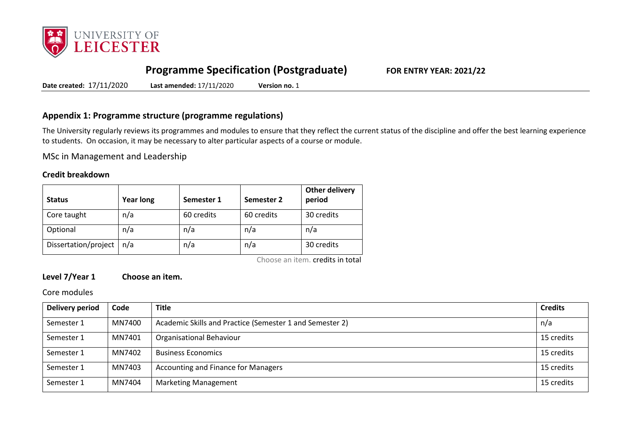

# **Programme Specification (Postgraduate) FOR ENTRY YEAR: 2021/22**

**Date created:** 17/11/2020 **Last amended:** 17/11/2020 **Version no.** 1

### **Appendix 1: Programme structure (programme regulations)**

The University regularly reviews its programmes and modules to ensure that they reflect the current status of the discipline and offer the best learning experience to students. On occasion, it may be necessary to alter particular aspects of a course or module.

MSc in Management and Leadership

#### **Credit breakdown**

| <b>Status</b>        | <b>Year long</b> | Semester 1 | Semester 2 | <b>Other delivery</b><br>period |
|----------------------|------------------|------------|------------|---------------------------------|
| Core taught          | n/a              | 60 credits | 60 credits | 30 credits                      |
| Optional             | n/a              | n/a        | n/a        | n/a                             |
| Dissertation/project | n/a              | n/a        | n/a        | 30 credits                      |

Choose an item. credits in total

## **Level 7/Year 1 Choose an item.**

Core modules

| Delivery period | Code   | <b>Title</b>                                             | <b>Credits</b> |
|-----------------|--------|----------------------------------------------------------|----------------|
| Semester 1      | MN7400 | Academic Skills and Practice (Semester 1 and Semester 2) | n/a            |
| Semester 1      | MN7401 | <b>Organisational Behaviour</b>                          | 15 credits     |
| Semester 1      | MN7402 | <b>Business Economics</b>                                | 15 credits     |
| Semester 1      | MN7403 | <b>Accounting and Finance for Managers</b>               | 15 credits     |
| Semester 1      | MN7404 | <b>Marketing Management</b>                              | 15 credits     |